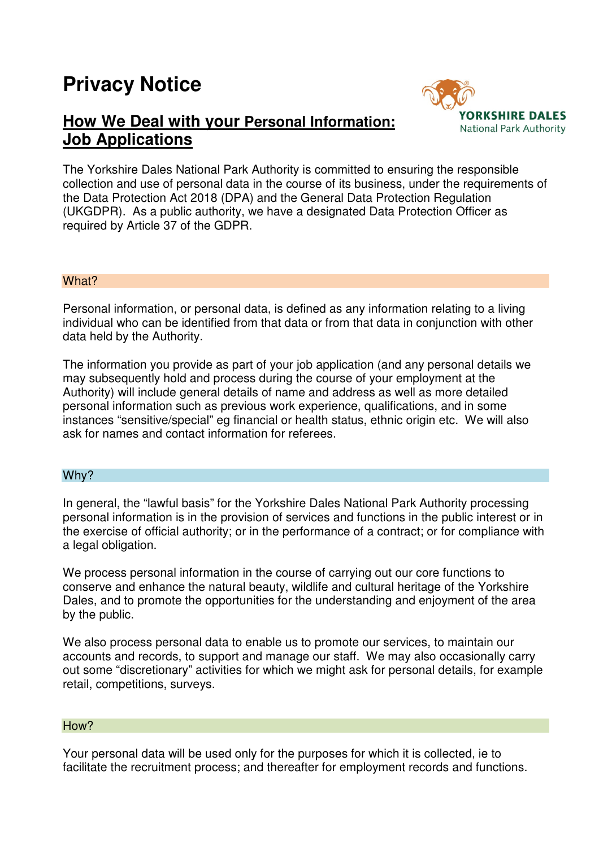# **Privacy Notice**

## **How We Deal with your Personal Information: Job Applications**



The Yorkshire Dales National Park Authority is committed to ensuring the responsible collection and use of personal data in the course of its business, under the requirements of the Data Protection Act 2018 (DPA) and the General Data Protection Regulation (UKGDPR). As a public authority, we have a designated Data Protection Officer as required by Article 37 of the GDPR.

### What?

Personal information, or personal data, is defined as any information relating to a living individual who can be identified from that data or from that data in conjunction with other data held by the Authority.

The information you provide as part of your job application (and any personal details we may subsequently hold and process during the course of your employment at the Authority) will include general details of name and address as well as more detailed personal information such as previous work experience, qualifications, and in some instances "sensitive/special" eg financial or health status, ethnic origin etc. We will also ask for names and contact information for referees.

### Why?

In general, the "lawful basis" for the Yorkshire Dales National Park Authority processing personal information is in the provision of services and functions in the public interest or in the exercise of official authority; or in the performance of a contract; or for compliance with a legal obligation.

We process personal information in the course of carrying out our core functions to conserve and enhance the natural beauty, wildlife and cultural heritage of the Yorkshire Dales, and to promote the opportunities for the understanding and enjoyment of the area by the public.

We also process personal data to enable us to promote our services, to maintain our accounts and records, to support and manage our staff. We may also occasionally carry out some "discretionary" activities for which we might ask for personal details, for example retail, competitions, surveys.

### How?

Your personal data will be used only for the purposes for which it is collected, ie to facilitate the recruitment process; and thereafter for employment records and functions.